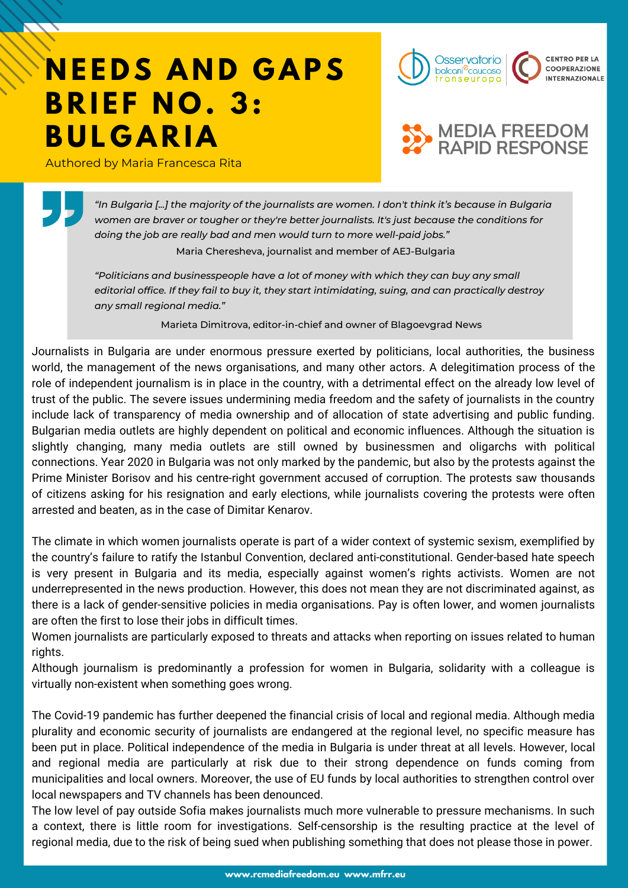## **NEEDS AND GAPS B R I E F N O . 3: B U L G A R I A**

Authored by Maria Francesca Rita





*"In Bulgaria [...] the majority of the journalists are women. I don't think it's because in Bulgaria women are braver or tougher or they're better journalists. It's just because the conditions for doing the job are really bad and men would turn to more well-paid jobs."*

Maria Cheresheva, journalist and member of AEJ-Bulgaria

*"Politicians and businesspeople have a lot of money with which they can buy any small editorial office. If they fail to buy it, they start intimidating, suing, and can practically destroy any small regional media."*

Marieta Dimitrova, editor-in-chief and owner of Blagoevgrad News

Journalists in Bulgaria are under enormous pressure exerted by politicians, local authorities, the business world, the management of the news organisations, and many other actors. A delegitimation process of the role of independent journalism is in place in the country, with a detrimental effect on the already low level of trust of the public. The severe issues undermining media freedom and the safety of journalists in the country include lack of transparency of media ownership and of allocation of state advertising and public funding. Bulgarian media outlets are highly dependent on political and economic influences. Although the situation is slightly changing, many media outlets are still owned by businessmen and oligarchs with political connections. Year 2020 in Bulgaria was not only marked by the pandemic, but also by the protests against the Prime Minister Borisov and his centre-right government accused of corruption. The protests saw thousands of citizens asking for his resignation and early elections, while journalists covering the protests were often arrested and beaten, as in the case of Dimitar Kenarov.

The climate in which women journalists operate is part of a wider context of systemic sexism, exemplified by the country's failure to ratify the Istanbul Convention, declared anti-constitutional. Gender-based hate speech is very present in Bulgaria and its media, especially against women's rights activists. Women are not underrepresented in the news production. However, this does not mean they are not discriminated against, as there is a lack of gender-sensitive policies in media organisations. Pay is often lower, and women journalists are often the first to lose their jobs in difficult times.

Women journalists are particularly exposed to threats and attacks when reporting on issues related to human rights.

Although journalism is predominantly a profession for women in Bulgaria, solidarity with a colleague is virtually non-existent when something goes wrong.

The Covid-19 pandemic has further deepened the financial crisis of local and regional media. Although media plurality and economic security of journalists are endangered at the regional level, no specific measure has been put in place. Political independence of the media in Bulgaria is under threat at all levels. However, local and regional media are particularly at risk due to their strong dependence on funds coming from municipalities and local owners. Moreover, the use of EU funds by local authorities to strengthen control over local newspapers and TV channels has been denounced.

The low level of pay outside Sofia makes journalists much more vulnerable to pressure mechanisms. In such a context, there is little room for investigations. Self-censorship is the resulting practice at the level of regional media, due to the risk of being sued when publishing something that does not please those in power.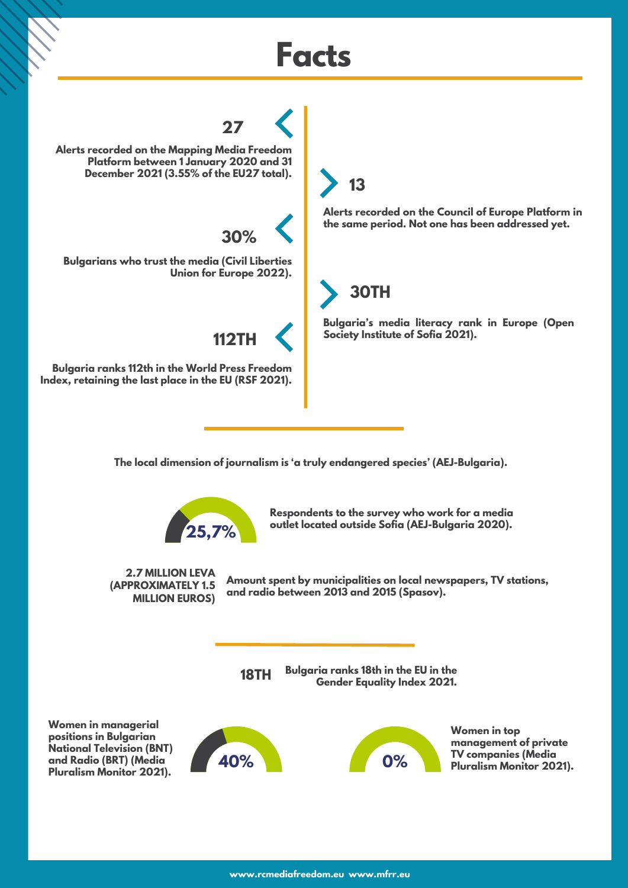## **Facts**